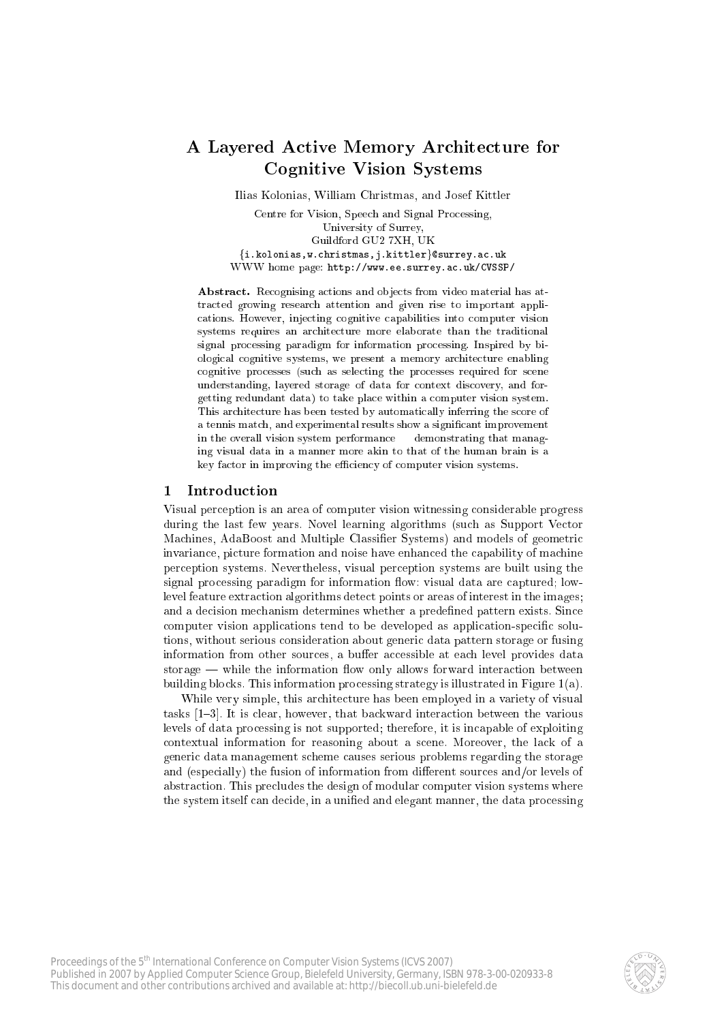# A Layered Active Memory Architecture for **Cognitive Vision Systems**

Ilias Kolonias, William Christmas, and Josef Kittler

Centre for Vision, Speech and Signal Processing, University of Surrey, Guildford GU2 7XH, UK  $\{\texttt{i.kolonias,w.christmas,j.kittler}\}$ @surrey.ac.uk WWW home page: http://www.ee.surrey.ac.uk/CVSSP/

**Abstract.** Recognising actions and objects from video material has attracted growing research attention and given rise to important applications. However, injecting cognitive capabilities into computer vision systems requires an architecture more elaborate than the traditional signal processing paradigm for information processing. Inspired by biological cognitive systems, we present a memory architecture enabling cognitive processes (such as selecting the processes required for scene understanding, layered storage of data for context discovery, and forgetting redundant data) to take place within a computer vision system. This architecture has been tested by automatically inferring the score of a tennis match, and experimental results show a significant improvement in the overall vision system performance - demonstrating that managing visual data in a manner more akin to that of the human brain is a key factor in improving the efficiency of computer vision systems.

#### Introduction  $\mathbf{1}$

Visual perception is an area of computer vision witnessing considerable progress during the last few years. Novel learning algorithms (such as Support Vector Machines, AdaBoost and Multiple Classifier Systems) and models of geometric invariance, picture formation and noise have enhanced the capability of machine perception systems. Nevertheless, visual perception systems are built using the signal processing paradigm for information flow: visual data are captured; lowlevel feature extraction algorithms detect points or areas of interest in the images; and a decision mechanism determines whether a predefined pattern exists. Since computer vision applications tend to be developed as application-specific solutions, without serious consideration about generic data pattern storage or fusing information from other sources, a buffer accessible at each level provides data storage  $-$  while the information flow only allows forward interaction between building blocks. This information processing strategy is illustrated in Figure 1(a).

While very simple, this architecture has been employed in a variety of visual tasks [1–3]. It is clear, however, that backward interaction between the various levels of data processing is not supported; therefore, it is incapable of exploiting contextual information for reasoning about a scene. Moreover, the lack of a generic data management scheme causes serious problems regarding the storage and (especially) the fusion of information from different sources and/or levels of abstraction. This precludes the design of modular computer vision systems where the system itself can decide, in a unified and elegant manner, the data processing

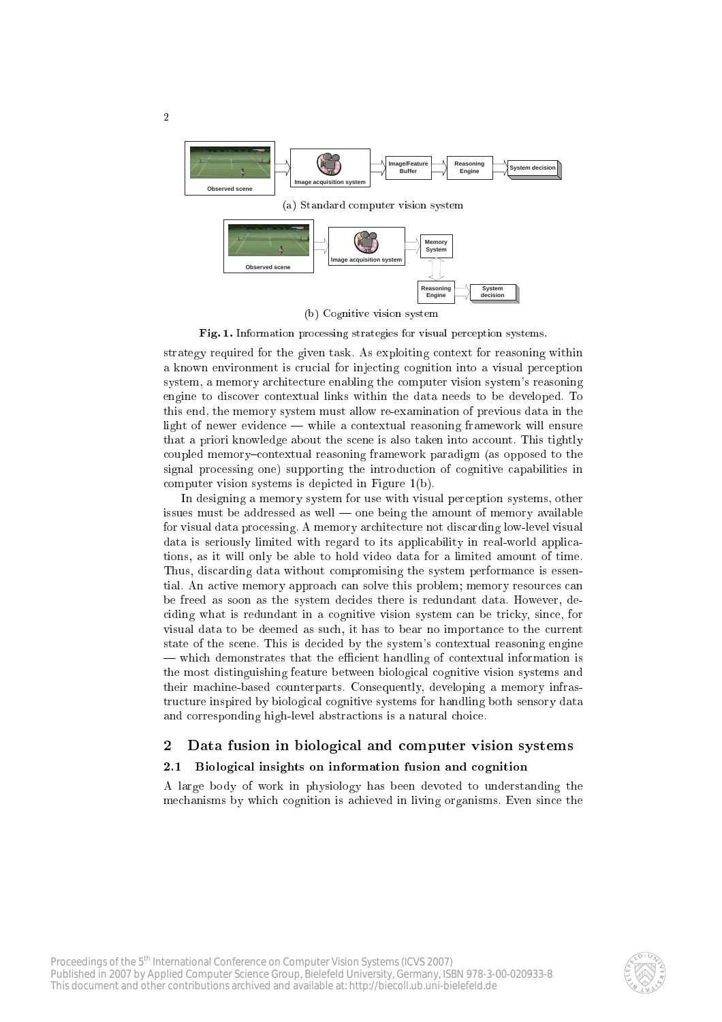

 $\overline{2}$ 

Fig. 1. Information processing strategies for visual perception systems.

strategy required for the given task. As exploiting ontext for reasoning within a known environment is crucial for injecting cognition into a visual perception system, a memory ar
hite
ture enabling the omputer vision system's reasoning engine to discover contextual links within the data needs to be developed. To this end, the memory system must allow re-examination of previous data in the light of newer evidence — while a contextual reasoning framework will ensure that a priori knowledge about the scene is also taken into account. This tightly coupled memory-contextual reasoning framework paradigm (as opposed to the signal processing one) supporting the introduction of cognitive capabilities in omputer vision systems is depi
ted in Figure 1(b).

In designing a memory system for use with visual per
eption systems, other issues must be addressed as well  $\sim$  one being the amount of memory available for visual data pro
essing. A memory ar
hite
ture not dis
arding low-level visual data is seriously limited with regard to its applicability in real-world applications, as it will only be able to hold video data for a limited amount of time. Thus, dis
arding data without ompromising the system performan
e is essential. An active memory approach can solve this problem; memory resources can be freed as soon as the system decides there is redundant data. However, deciding what is redundant in a cognitive vision system can be tricky, since, for visual data to be deemed as su
h, it has to bear no importan
e to the urrent state of the scene. This is decided by the system's contextual reasoning engine — which demonstrates that the efficient handling of contextual information is the most distinguishing feature between biologi
al ognitive vision systems and their ma
hine-based ounterparts. Consequently, developing a memory infrastructure inspired by biological cognitive systems for handling both sensory data and corresponding high-level abstractions is a natural choice.

## 2 Data fusion in biological and computer vision systems

#### $2.1$ Biological insights on information fusion and cognition

A large body of work in physiology has been devoted to understanding the mechanisms by which cognition is achieved in living organisms. Even since the

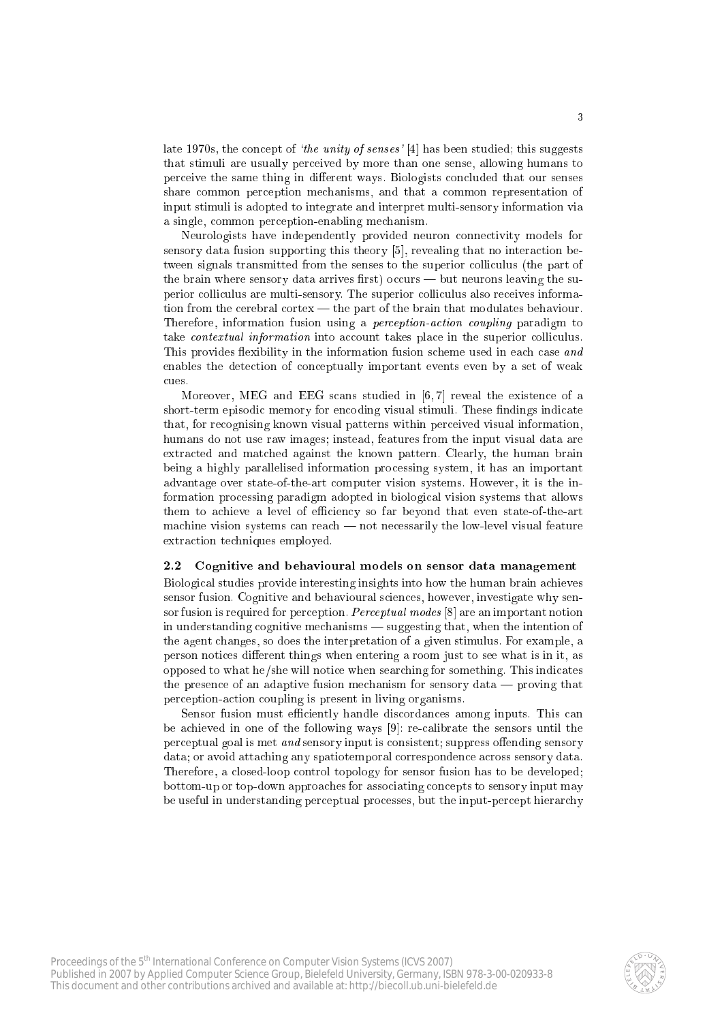late 1970s, the concept of *'the unity of senses'* [4] has been studied; this suggests that stimuli are usually per
eived by more than one sense, allowing humans to perceive the same thing in different ways. Biologists concluded that our senses share ommon per
eption me
hanisms, and that a ommon representation of input stimuli is adopted to integrate and interpret multi-sensory information via a single, ommon per
eption-enabling me
hanism.

Neurologists have independently provided neuron connectivity models for sensory data fusion supporting this theory  $[5]$ , revealing that no interaction between signals transmitted from the senses to the superior colliculus (the part of the brain where sensory data arrives first) occurs  $-$  but neurons leaving the superior colliculus are multi-sensory. The superior colliculus also receives information from the cerebral cortex  $-$  the part of the brain that modulates behaviour. Therefore, information fusion using a *perception-action coupling* paradigm to take *contextual information* into account takes place in the superior colliculus. This provides flexibility in the information fusion scheme used in each case and enables the detection of conceptually important events even by a set of weak cues.

Moreover, MEG and EEG scans studied in  $[6, 7]$  reveal the existence of a short-term episodic memory for encoding visual stimuli. These findings indicate that, for re
ognising known visual patterns within per
eived visual information, humans do not use raw images; instead, features from the input visual data are extra
ted and mat
hed against the known pattern. Clearly, the human brain being a highly parallelised information pro
essing system, it has an important advantage over state-of-the-art omputer vision systems. However, it is the information pro
essing paradigm adopted in biologi
al vision systems that allows them to achieve a level of efficiency so far beyond that even state-of-the-art machine vision systems can reach  $-$  not necessarily the low-level visual feature extraction techniques employed.

### 2.2 Cognitive and behavioural models on sensor data management

Biologi
al studies provide interesting insights into how the human brain a
hieves sensor fusion. Cognitive and behavioural sciences, however, investigate why sensor fusion is required for perception. *Perceptual modes*  $[8]$  are an important notion in understanding cognitive mechanisms — suggesting that, when the intention of the agent hanges, so does the interpretation of a given stimulus. For example, a person notices different things when entering a room just to see what is in it, as opposed to what he/she will notice when searching for something. This indicates the presence of an adaptive fusion mechanism for sensory data  $-$  proving that per
eption-a
tion oupling is present in living organisms.

Sensor fusion must efficiently handle discordances among inputs. This can be achieved in one of the following ways [9]: re-calibrate the sensors until the perceptual goal is met *and* sensory input is consistent; suppress of fending sensory data; or avoid attaching any spatiotemporal correspondence across sensory data. Therefore, a closed-loop control topology for sensor fusion has to be developed; bottom-up or top-down approa
hes for asso
iating on
epts to sensory input may be useful in understanding perceptual processes, but the input-percept hierarchy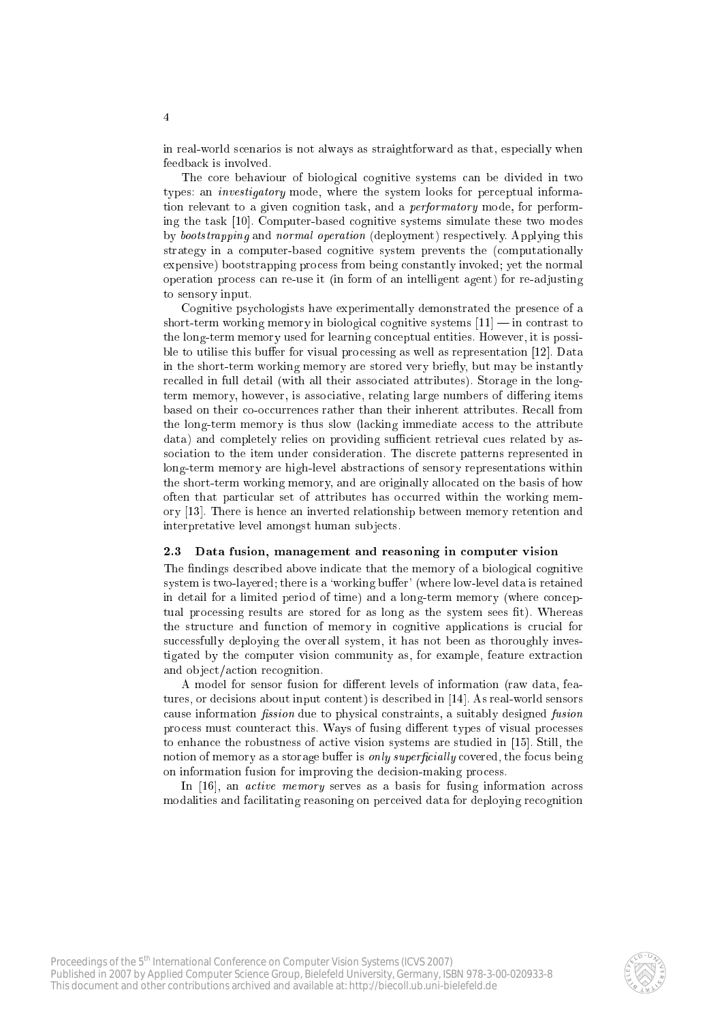in real-world scenarios is not always as straightforward as that, especially when feedback is involved.

The core behaviour of biological cognitive systems can be divided in two types: an *investigatory* mode, where the system looks for perceptual information relevant to a given cognition task, and a *performatory* mode, for performing the task [10]. Computer-based cognitive systems simulate these two modes by bootstrapping and normal operation (deployment) respectively. Applying this strategy in a computer-based cognitive system prevents the (computationally expensive) bootstrapping process from being constantly invoked; yet the normal operation process can re-use it (in form of an intelligent agent) for re-adjusting to sensory input.

Cognitive psychologists have experimentally demonstrated the presence of a short-term working memory in biological cognitive systems  $[11]$  — in contrast to the long-term memory used for learning conceptual entities. However, it is possible to utilise this buffer for visual processing as well as representation [12]. Data in the short-term working memory are stored very briefly, but may be instantly recalled in full detail (with all their associated attributes). Storage in the longterm memory, however, is associative, relating large numbers of differing items based on their co-occurrences rather than their inherent attributes. Recall from the long-term memory is thus slow (lacking immediate access to the attribute data) and completely relies on providing sufficient retrieval cues related by association to the item under consideration. The discrete patterns represented in long-term memory are high-level abstractions of sensory representations within the short-term working memory, and are originally allocated on the basis of how often that particular set of attributes has occurred within the working memory [13]. There is hence an inverted relationship between memory retention and interpretative level amongst human subjects.

### 2.3 Data fusion, management and reasoning in computer vision

The findings described above indicate that the memory of a biological cognitive system is two-layered; there is a 'working buffer' (where low-level data is retained in detail for a limited period of time) and a long-term memory (where conceptual processing results are stored for as long as the system sees fit). Whereas the structure and function of memory in cognitive applications is crucial for successfully deploying the overall system, it has not been as thoroughly investigated by the computer vision community as, for example, feature extraction and object/action recognition.

A model for sensor fusion for different levels of information (raw data, features, or decisions about input content) is described in [14]. As real-world sensors cause information *fission* due to physical constraints, a suitably designed *fusion* process must counteract this. Ways of fusing different types of visual processes to enhance the robustness of active vision systems are studied in [15]. Still, the notion of memory as a storage buffer is only superficially covered, the focus being on information fusion for improving the decision-making process.

In [16], an *active memory* serves as a basis for fusing information across modalities and facilitating reasoning on perceived data for deploying recognition

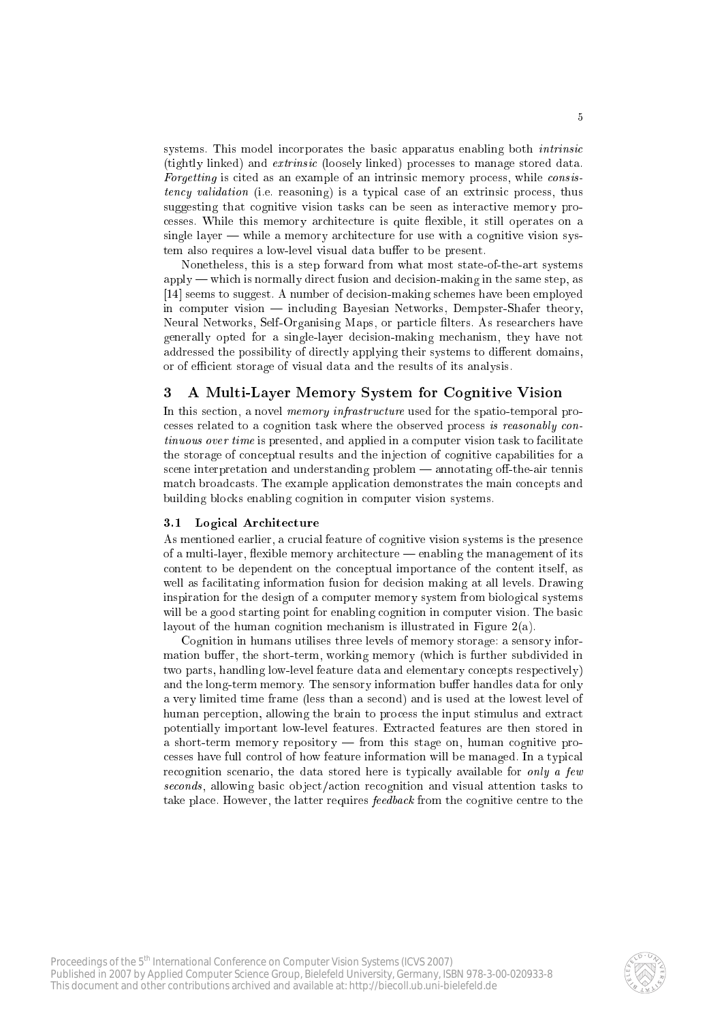systems. This model incorporates the basic apparatus enabling both *intrinsic* (tightly linked) and *extrinsic* (loosely linked) processes to manage stored data. Forgetting is cited as an example of an intrinsic memory process, while consistency validation (i.e. reasoning) is a typical case of an extrinsic process, thus suggesting that cognitive vision tasks can be seen as interactive memory processes. While this memory architecture is quite flexible, it still operates on a single layer  $-\omega$  while a memory architecture for use with a cognitive vision system also requires a low-level visual data buffer to be present.

Nonetheless, this is a step forward from what most state-of-the-art systems  $\alpha$  apply — which is normally direct fusion and decision-making in the same step, as [14] seems to suggest. A number of decision-making schemes have been employed in computer vision  $-$  including Bayesian Networks, Dempster-Shafer theory, Neural Networks, Self-Organising Maps, or particle filters. As researchers have generally opted for a single-layer decision-making mechanism, they have not addressed the possibility of directly applying their systems to different domains, or of efficient storage of visual data and the results of its analysis.

#### A Multi-Layer Memory System for Cognitive Vision 3

In this section, a novel *memory infrastructure* used for the spatio-temporal processes related to a cognition task where the observed process is reasonably con*tinuous over time* is presented, and applied in a computer vision task to facilitate the storage of conceptual results and the injection of cognitive capabilities for a scene interpretation and understanding problem — annotating off-the-air tennis match broadcasts. The example application demonstrates the main concepts and building blocks enabling cognition in computer vision systems.

### 3.1 Logical Architecture

As mentioned earlier, a crucial feature of cognitive vision systems is the presence of a multi-layer, flexible memory architecture — enabling the management of its content to be dependent on the conceptual importance of the content itself, as well as facilitating information fusion for decision making at all levels. Drawing inspiration for the design of a computer memory system from biological systems will be a good starting point for enabling cognition in computer vision. The basic layout of the human cognition mechanism is illustrated in Figure  $2(a)$ .

Cognition in humans utilises three levels of memory storage: a sensory information buffer, the short-term, working memory (which is further subdivided in two parts, handling low-level feature data and elementary concepts respectively) and the long-term memory. The sensory information buffer handles data for only a very limited time frame (less than a second) and is used at the lowest level of human perception, allowing the brain to process the input stimulus and extract potentially important low-level features. Extracted features are then stored in a short-term memory repository - from this stage on, human cognitive processes have full control of how feature information will be managed. In a typical recognition scenario, the data stored here is typically available for only a few seconds, allowing basic object/action recognition and visual attention tasks to take place. However, the latter requires *feedback* from the cognitive centre to the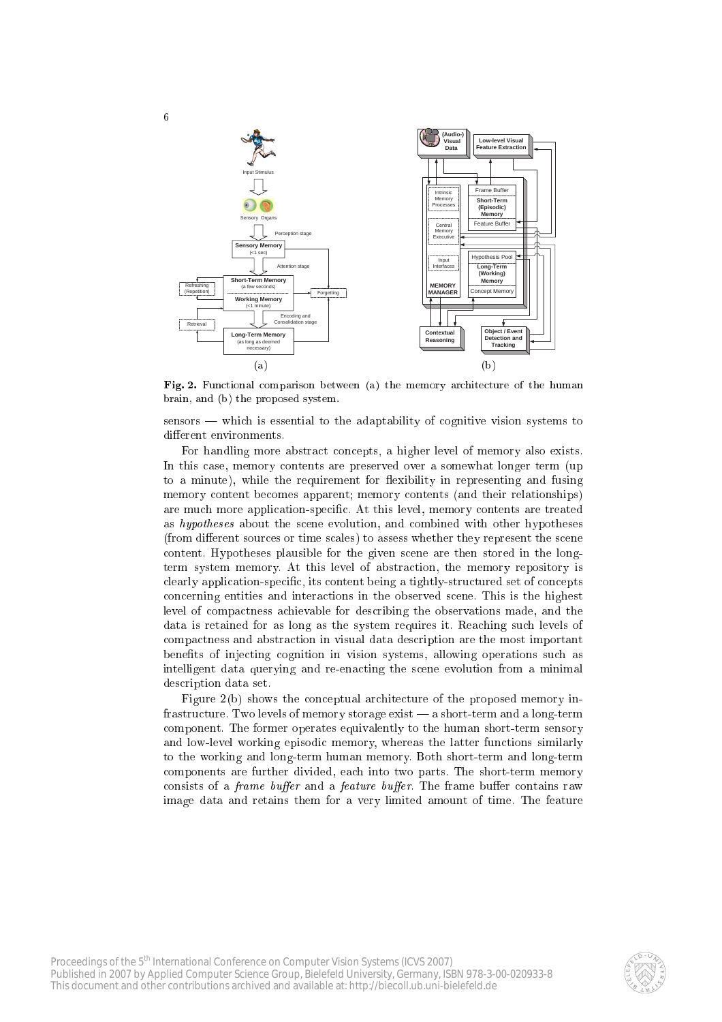

Fig. 2. Functional comparison between (a) the memory architecture of the human brain, and (b) the proposed system.

sensors — which is essential to the adaptability of cognitive vision systems to different environments.

For handling more abstract concepts, a higher level of memory also exists. In this ase, memory ontents are preserved over a somewhat longer term (up to a minute), while the requirement for flexibility in representing and fusing memory ontent be
omes apparent; memory ontents (and their relationships) are mu
h more appli
ation-spe
i
. At this level, memory ontents are treated as hypotheses about the scene evolution, and combined with other hypotheses (from different sources or time scales) to assess whether they represent the scene ontent. Hypotheses plausible for the given s
ene are then stored in the longterm system memory. At this level of abstra
tion, the memory repository is clearly application-specific, its content being a tightly-structured set of concepts on
erning entities and intera
tions in the observed s
ene. This is the highest level of compactness achievable for describing the observations made, and the data is retained for as long as the system requires it. Reaching such levels of ompa
tness and abstra
tion in visual data des
ription are the most important benefits of injecting cognition in vision systems, allowing operations such as intelligent data querying and re-enacting the scene evolution from a minimal des
ription data set.

Figure 2(b) shows the conceptual architecture of the proposed memory infrastructure. Two levels of memory storage exist — a short-term and a long-term omponent. The former operates equivalently to the human short-term sensory and low-level working episodic memory, whereas the latter functions similarly to the working and long-term human memory. Both short-term and long-term components are further divided, each into two parts. The short-term memory consists of a *frame buffer* and a *feature buffer*. The frame buffer contains raw image data and retains them for a very limited amount of time. The feature

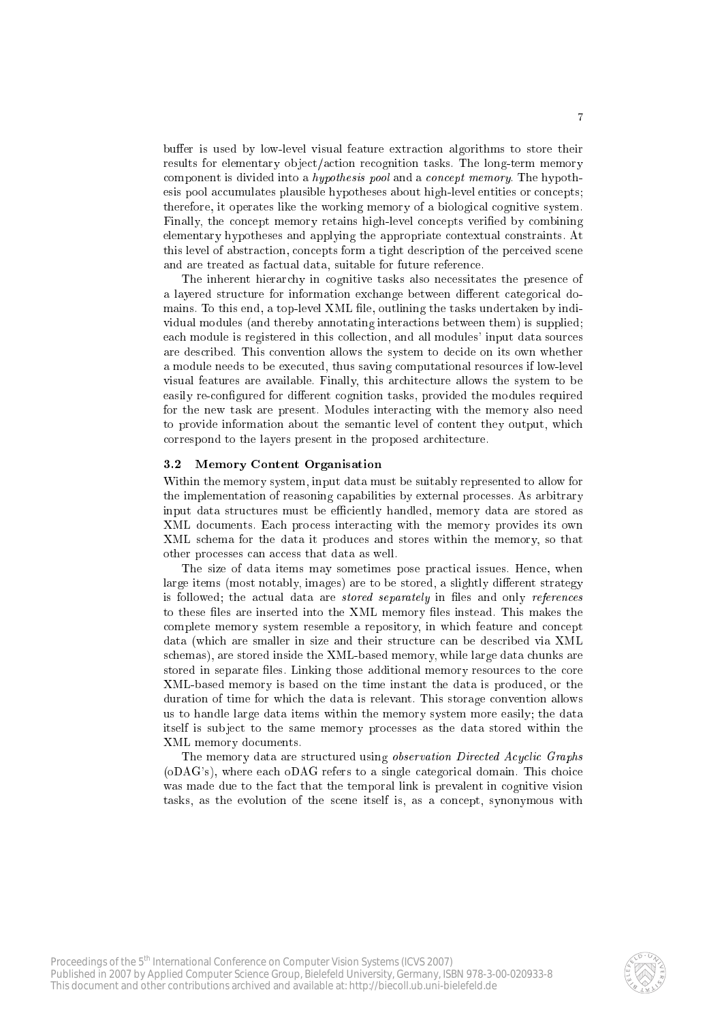buffer is used by low-level visual feature extraction algorithms to store their results for elementary object/action recognition tasks. The long-term memory component is divided into a *hypothesis pool* and a *concept memory*. The hypothesis pool accumulates plausible hypotheses about high-level entities or concepts; therefore, it operates like the working memory of a biologi
al ognitive system. Finally, the concept memory retains high-level concepts verified by combining elementary hypotheses and applying the appropriate ontextual onstraints. At this level of abstraction, concepts form a tight description of the perceived scene and are treated as factual data, suitable for future reference.

The inherent hierarchy in cognitive tasks also necessitates the presence of a layered structure for information exchange between different categorical domains. To this end, a top-level XML file, outlining the tasks undertaken by individual modules (and thereby annotating intera
tions between them) is supplied; each module is registered in this collection, and all modules' input data sources are des
ribed. This onvention allows the system to de
ide on its own whether a module needs to be executed, thus saving computational resources if low-level visual features are available. Finally, this ar
hite
ture allows the system to be easily re-configured for different cognition tasks, provided the modules required for the new task are present. Modules interacting with the memory also need to provide information about the semantic level of content they output, which correspond to the layers present in the proposed architecture.

### 3.2 Memory Content Organisation

Within the memory system, input data must be suitably represented to allow for the implementation of reasoning capabilities by external processes. As arbitrary input data structures must be efficiently handled, memory data are stored as XML do
uments. Ea
h pro
ess intera
ting with the memory provides its own XML s
hema for the data it produ
es and stores within the memory, so that other processes can access that data as well.

The size of data items may sometimes pose practical issues. Hence, when large items (most notably, images) are to be stored, a slightly different strategy is followed; the actual data are *stored separately* in files and only *references* to these files are inserted into the XML memory files instead. This makes the complete memory system resemble a repository, in which feature and concept data (which are smaller in size and their structure can be described via XML s
hemas), are stored inside the XML-based memory, while large data hunks are stored in separate files. Linking those additional memory resources to the core XML-based memory is based on the time instant the data is produ
ed, or the duration of time for which the data is relevant. This storage convention allows us to handle large data items within the memory system more easily; the data itself is sub je
t to the same memory pro
esses as the data stored within the XML memory do
uments.

The memory data are structured using *observation Directed Acyclic Graphs* (oDAG's), where ea
h oDAG refers to a single ategori
al domain. This hoi
e was made due to the fact that the temporal link is prevalent in cognitive vision tasks, as the evolution of the s
ene itself is, as a on
ept, synonymous with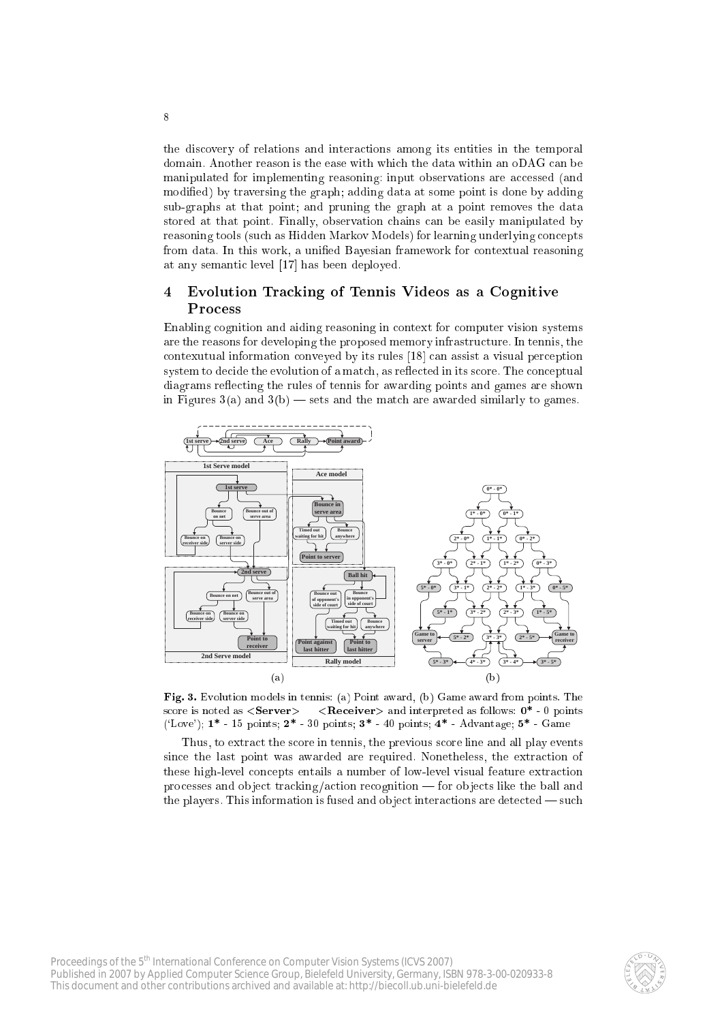the discovery of relations and interactions among its entities in the temporal domain. Another reason is the ease with which the data within an oDAG can be manipulated for implementing reasoning: input observations are accessed (and modified) by traversing the graph; adding data at some point is done by adding sub-graphs at that point; and pruning the graph at a point removes the data stored at that point. Finally, observation chains can be easily manipulated by reasoning tools (such as Hidden Markov Models) for learning underlying concepts from data. In this work, a unified Bayesian framework for contextual reasoning at any semantic level [17] has been deployed.

8

### Evolution Tracking of Tennis Videos as a Cognitive 4 Process

Enabling cognition and aiding reasoning in context for computer vision systems are the reasons for developing the proposed memory infrastructure. In tennis, the contexutual information conveyed by its rules [18] can assist a visual perception system to decide the evolution of a match, as reflected in its score. The conceptual diagrams reflecting the rules of tennis for awarding points and games are shown in Figures  $3(a)$  and  $3(b)$  — sets and the match are awarded similarly to games.



Fig. 3. Evolution models in tennis: (a) Point award, (b) Game award from points. The score is noted as  $\langle$ Server $\rangle$  -  $\langle$ Receiver $\rangle$  and interpreted as follows: 0<sup>\*</sup> - 0 points ('Love');  $1^*$  - 15 points;  $2^*$  - 30 points;  $3^*$  - 40 points;  $4^*$  - Advantage;  $5^*$  - Game

Thus, to extract the score in tennis, the previous score line and all play events since the last point was awarded are required. Nonetheless, the extraction of these high-level concepts entails a number of low-level visual feature extraction processes and object tracking/action recognition — for objects like the ball and the players. This information is fused and object interactions are detected  $-$  such

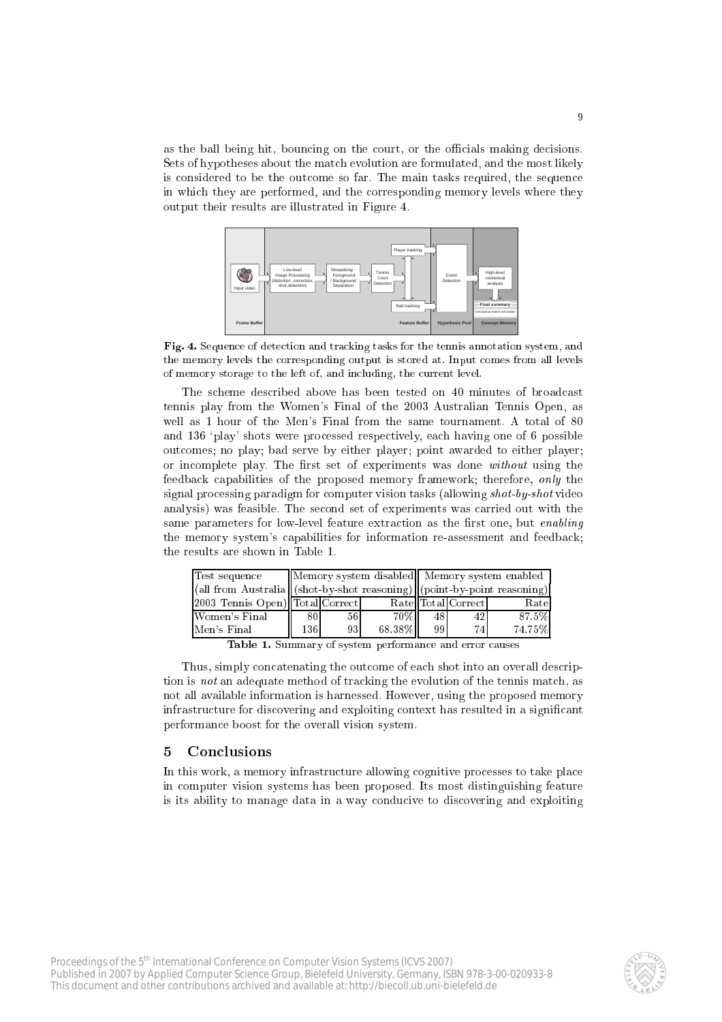as the ball being hit, bouncing on the court, or the officials making decisions. Sets of hypotheses about the match evolution are formulated, and the most likely is considered to be the outcome so far. The main tasks required, the sequence in whi
h they are performed, and the orresponding memory levels where they output their results are illustrated in Figure 4.



Fig. 4. Sequence of detection and tracking tasks for the tennis annotation system, and the memory levels the orresponding output is stored at. Input omes from all levels of memory storage to the left of, and in
luding, the urrent level.

The scheme described above has been tested on 40 minutes of broadcast tennis play from the Women's Final of the 2003 Australian Tennis Open, as well as 1 hour of the Men's Final from the same tournament. A total of 80 and 136 `play' shots were pro
essed respe
tively, ea
h having one of 6 possible out
omes; no play; bad serve by either player; point awarded to either player; or incomplete play. The first set of experiments was done without using the feedback capabilities of the proposed memory framework; therefore, only the signal processing paradigm for computer vision tasks (allowing *shot-by-shot* video analysis) was feasible. The se
ond set of experiments was arried out with the same parameters for low-level feature extraction as the first one, but *enabling* the memory system's capabilities for information re-assessment and feedback; the results are shown in Table 1.

| Test sequence                    |     |                 |        | Memory system disabled   Memory system enabled                                         |                    |        |
|----------------------------------|-----|-----------------|--------|----------------------------------------------------------------------------------------|--------------------|--------|
|                                  |     |                 |        | $\ $ (all from Australia $\ $ (shot-by-shot reasoning) $\ $ (point-by-point reasoning) |                    |        |
| [2003 Tennis Open) Total Correct |     |                 |        |                                                                                        | Rate Total Correct | Rate   |
| Women's Final                    | 80  | 56 <sub>1</sub> | $70\%$ | 48                                                                                     | 42                 | 87.5%  |
| Men's Final                      | 136 | 931             | 68.38% | 99                                                                                     | 74                 | 74.75% |

Table 1. Summary of system performance and error causes

Thus, simply on
atenating the out
ome of ea
h shot into an overall des
ription is *not* an adequate method of tracking the evolution of the tennis match, as not all available information is harnessed. However, using the proposed memory infrastructure for discovering and exploiting context has resulted in a significant performan
e boost for the overall vision system.

#### 5 **Conclusions**

In this work, a memory infrastructure allowing cognitive processes to take place in omputer vision systems has been proposed. Its most distinguishing feature is its ability to manage data in a way conducive to discovering and exploiting